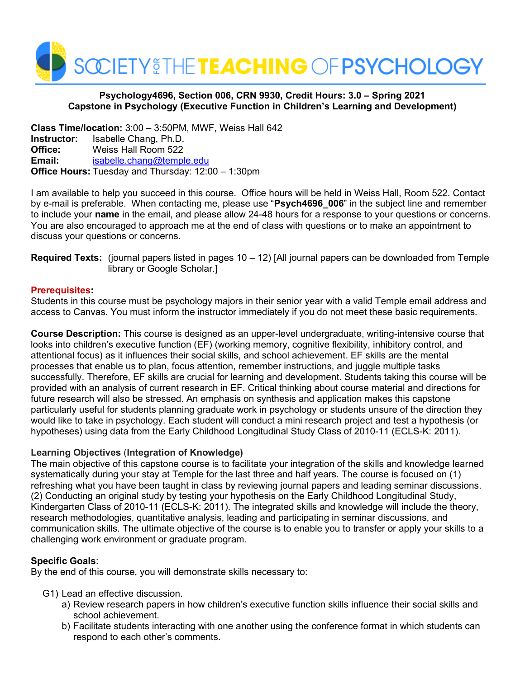

## **Psychology4696, Section 006, CRN 9930, Credit Hours: 3.0 – Spring 2021 Capstone in Psychology (Executive Function in Children's Learning and Development)**

**Class Time/location:** 3:00 – 3:50PM, MWF, Weiss Hall 642 **Instructor:** Isabelle Chang, Ph.D. **Office:** Weiss Hall Room 522 **Email:** [isabelle.chang@temple.edu](mailto:isabelle.chang@temple.edu) **Office Hours:** Tuesday and Thursday: 12:00 – 1:30pm

I am available to help you succeed in this course. Office hours will be held in Weiss Hall, Room 522. Contact by e-mail is preferable. When contacting me, please use "**Psych4696\_006**" in the subject line and remember to include your **name** in the email, and please allow 24-48 hours for a response to your questions or concerns. You are also encouraged to approach me at the end of class with questions or to make an appointment to discuss your questions or concerns.

#### **Required Texts:** (journal papers listed in pages 10 – 12) [All journal papers can be downloaded from Temple library or Google Scholar.]

## **Prerequisites:**

Students in this course must be psychology majors in their senior year with a valid Temple email address and access to Canvas. You must inform the instructor immediately if you do not meet these basic requirements.

**Course Description:** This course is designed as an upper-level undergraduate, writing-intensive course that looks into children's executive function (EF) (working memory, cognitive flexibility, inhibitory control, and attentional focus) as it influences their social skills, and school achievement. EF skills are the mental processes that enable us to plan, focus attention, remember instructions, and juggle multiple tasks successfully. Therefore, EF skills are crucial for learning and development. Students taking this course will be provided with an analysis of current research in EF. Critical thinking about course material and directions for future research will also be stressed. An emphasis on synthesis and application makes this capstone particularly useful for students planning graduate work in psychology or students unsure of the direction they would like to take in psychology. Each student will conduct a mini research project and test a hypothesis (or hypotheses) using data from the Early Childhood Longitudinal Study Class of 2010-11 (ECLS-K: 2011).

## **Learning Objectives** (**Integration of Knowledge)**

The main objective of this capstone course is to facilitate your integration of the skills and knowledge learned systematically during your stay at Temple for the last three and half years. The course is focused on (1) refreshing what you have been taught in class by reviewing journal papers and leading seminar discussions. (2) Conducting an original study by testing your hypothesis on the Early Childhood Longitudinal Study, Kindergarten Class of 2010-11 (ECLS-K: 2011). The integrated skills and knowledge will include the theory, research methodologies, quantitative analysis, leading and participating in seminar discussions, and communication skills. The ultimate objective of the course is to enable you to transfer or apply your skills to a challenging work environment or graduate program.

## **Specific Goals**:

By the end of this course, you will demonstrate skills necessary to:

- G1) Lead an effective discussion.
	- a) Review research papers in how children's executive function skills influence their social skills and school achievement.
	- b) Facilitate students interacting with one another using the conference format in which students can respond to each other's comments.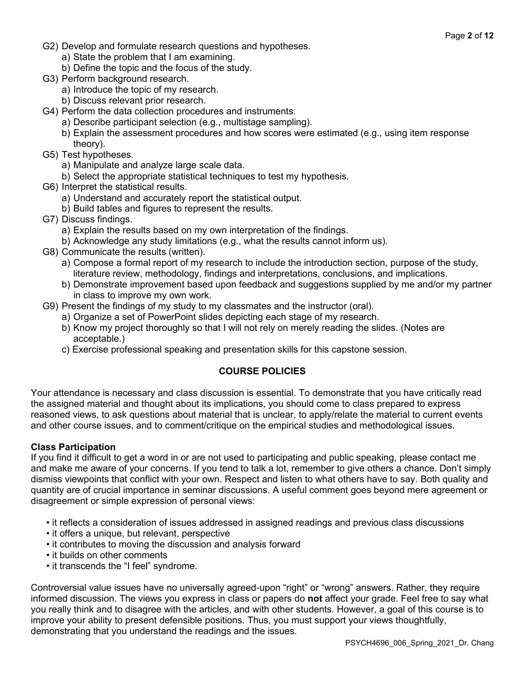- G2) Develop and formulate research questions and hypotheses.
	- a) State the problem that I am examining.
	- b) Define the topic and the focus of the study.
- G3) Perform background research.
	- a) Introduce the topic of my research.
	- b) Discuss relevant prior research.
- G4) Perform the data collection procedures and instruments.
	- a) Describe participant selection (e.g., multistage sampling).
		- b) Explain the assessment procedures and how scores were estimated (e.g., using item response theory).
- G5) Test hypotheses.
	- a) Manipulate and analyze large scale data.
	- b) Select the appropriate statistical techniques to test my hypothesis.
- G6) Interpret the statistical results.
	- a) Understand and accurately report the statistical output.
	- b) Build tables and figures to represent the results.
- G7) Discuss findings.
	- a) Explain the results based on my own interpretation of the findings.
	- b) Acknowledge any study limitations (e.g., what the results cannot inform us).
- G8) Communicate the results (written).
	- a) Compose a formal report of my research to include the introduction section, purpose of the study, literature review, methodology, findings and interpretations, conclusions, and implications.
	- b) Demonstrate improvement based upon feedback and suggestions supplied by me and/or my partner in class to improve my own work.
- G9) Present the findings of my study to my classmates and the instructor (oral).
	- a) Organize a set of PowerPoint slides depicting each stage of my research.
	- b) Know my project thoroughly so that I will not rely on merely reading the slides. (Notes are acceptable.)
	- c) Exercise professional speaking and presentation skills for this capstone session.

## **COURSE POLICIES**

Your attendance is necessary and class discussion is essential. To demonstrate that you have critically read the assigned material and thought about its implications, you should come to class prepared to express reasoned views, to ask questions about material that is unclear, to apply/relate the material to current events and other course issues, and to comment/critique on the empirical studies and methodological issues.

## **Class Participation**

If you find it difficult to get a word in or are not used to participating and public speaking, please contact me and make me aware of your concerns. If you tend to talk a lot, remember to give others a chance. Don't simply dismiss viewpoints that conflict with your own. Respect and listen to what others have to say. Both quality and quantity are of crucial importance in seminar discussions. A useful comment goes beyond mere agreement or disagreement or simple expression of personal views:

- it reflects a consideration of issues addressed in assigned readings and previous class discussions
- it offers a unique, but relevant, perspective
- it contributes to moving the discussion and analysis forward
- it builds on other comments
- it transcends the "I feel" syndrome.

Controversial value issues have no universally agreed-upon "right" or "wrong" answers. Rather, they require informed discussion. The views you express in class or papers do **not** affect your grade. Feel free to say what you really think and to disagree with the articles, and with other students. However, a goal of this course is to improve your ability to present defensible positions. Thus, you must support your views thoughtfully, demonstrating that you understand the readings and the issues.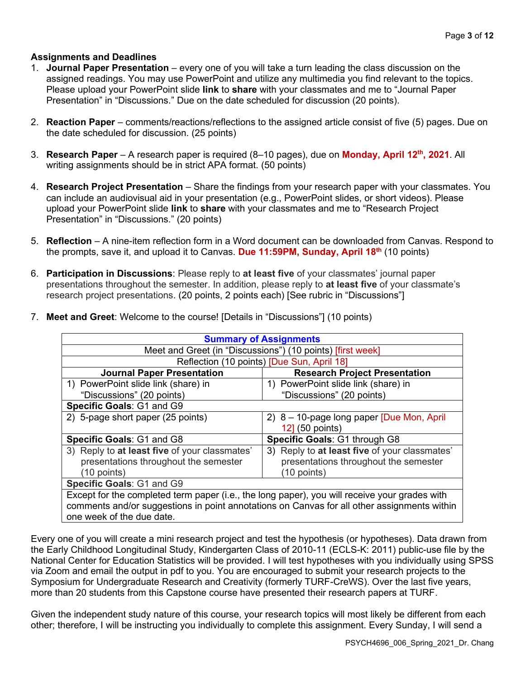# **Assignments and Deadlines**

- 1. **Journal Paper Presentation** every one of you will take a turn leading the class discussion on the assigned readings. You may use PowerPoint and utilize any multimedia you find relevant to the topics. Please upload your PowerPoint slide **link** to **share** with your classmates and me to "Journal Paper Presentation" in "Discussions." Due on the date scheduled for discussion (20 points).
- 2. **Reaction Paper** comments/reactions/reflections to the assigned article consist of five (5) pages. Due on the date scheduled for discussion. (25 points)
- 3. **Research Paper**  A research paper is required (8–10 pages), due on **Monday, April 12th, 2021**. All writing assignments should be in strict APA format. (50 points)
- 4. **Research Project Presentation** Share the findings from your research paper with your classmates. You can include an audiovisual aid in your presentation (e.g., PowerPoint slides, or short videos). Please upload your PowerPoint slide **link** to **share** with your classmates and me to "Research Project Presentation" in "Discussions." (20 points)
- 5. **Reflection** A nine-item reflection form in a Word document can be downloaded from Canvas. Respond to the prompts, save it, and upload it to Canvas. **Due 11:59PM, Sunday, April 18th** (10 points)
- 6. **Participation in Discussions**: Please reply to **at least five** of your classmates' journal paper presentations throughout the semester. In addition, please reply to **at least five** of your classmate's research project presentations. (20 points, 2 points each) [See rubric in "Discussions"]

| <b>Summary of Assignments</b>                                                                 |                                               |  |  |
|-----------------------------------------------------------------------------------------------|-----------------------------------------------|--|--|
| Meet and Greet (in "Discussions") (10 points) [first week]                                    |                                               |  |  |
|                                                                                               | Reflection (10 points) [Due Sun, April 18]    |  |  |
| <b>Journal Paper Presentation</b>                                                             | <b>Research Project Presentation</b>          |  |  |
| 1) PowerPoint slide link (share) in                                                           | 1) PowerPoint slide link (share) in           |  |  |
| "Discussions" (20 points)                                                                     | "Discussions" (20 points)                     |  |  |
| Specific Goals: G1 and G9                                                                     |                                               |  |  |
| 2) 5-page short paper (25 points)                                                             | 2) $8 - 10$ -page long paper [Due Mon, April] |  |  |
|                                                                                               | 12] (50 points)                               |  |  |
| Specific Goals: G1 and G8                                                                     | Specific Goals: G1 through G8                 |  |  |
| 3) Reply to at least five of your classmates'                                                 | 3) Reply to at least five of your classmates' |  |  |
| presentations throughout the semester                                                         | presentations throughout the semester         |  |  |
| (10 points)                                                                                   | (10 points)                                   |  |  |
| Specific Goals: G1 and G9                                                                     |                                               |  |  |
| Except for the completed term paper (i.e., the long paper), you will receive your grades with |                                               |  |  |
| comments and/or suggestions in point annotations on Canvas for all other assignments within   |                                               |  |  |
| one week of the due date.                                                                     |                                               |  |  |

7. **Meet and Greet**: Welcome to the course! [Details in "Discussions"] (10 points)

Every one of you will create a mini research project and test the hypothesis (or hypotheses). Data drawn from the Early Childhood Longitudinal Study, Kindergarten Class of 2010-11 (ECLS-K: 2011) public-use file by the National Center for Education Statistics will be provided. I will test hypotheses with you individually using SPSS via Zoom and email the output in pdf to you. You are encouraged to submit your research projects to the Symposium for Undergraduate Research and Creativity (formerly TURF-CreWS). Over the last five years, more than 20 students from this Capstone course have presented their research papers at TURF.

Given the independent study nature of this course, your research topics will most likely be different from each other; therefore, I will be instructing you individually to complete this assignment. Every Sunday, I will send a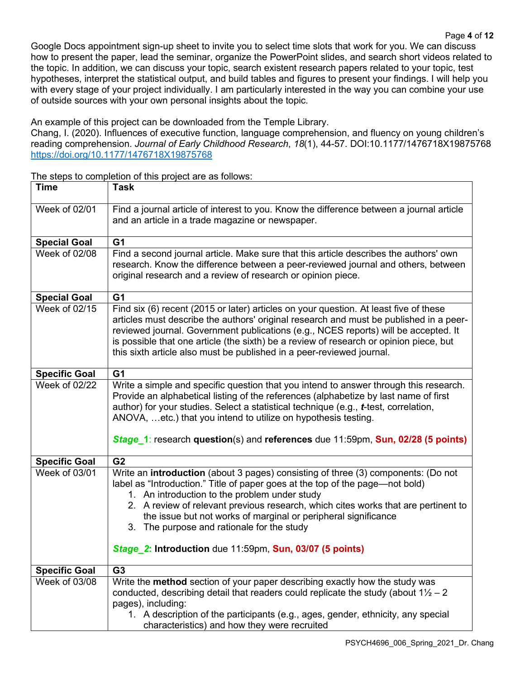Google Docs appointment sign-up sheet to invite you to select time slots that work for you. We can discuss how to present the paper, lead the seminar, organize the PowerPoint slides, and search short videos related to the topic. In addition, we can discuss your topic, search existent research papers related to your topic, test hypotheses, interpret the statistical output, and build tables and figures to present your findings. I will help you with every stage of your project individually. I am particularly interested in the way you can combine your use of outside sources with your own personal insights about the topic.

An example of this project can be downloaded from the Temple Library.

Chang, I. (2020). Influences of executive function, language comprehension, and fluency on young children's reading comprehension. *Journal of Early Childhood Research*, *18*(1), 44-57. [DOI:10.1177/1476718X19875768](https://doi.org/10.1177/1476718X19875768) [https://doi.org/10.1177/1476718X19875768](https://doi.org/10.1177%2F1476718X19875768)

The steps to completion of this project are as follows:

| <b>Time</b>          | <b>Task</b>                                                                                                                                                                                                                                                                                                                                                                                                                                                                           |
|----------------------|---------------------------------------------------------------------------------------------------------------------------------------------------------------------------------------------------------------------------------------------------------------------------------------------------------------------------------------------------------------------------------------------------------------------------------------------------------------------------------------|
| Week of 02/01        | Find a journal article of interest to you. Know the difference between a journal article<br>and an article in a trade magazine or newspaper.                                                                                                                                                                                                                                                                                                                                          |
| <b>Special Goal</b>  | G <sub>1</sub>                                                                                                                                                                                                                                                                                                                                                                                                                                                                        |
| Week of 02/08        | Find a second journal article. Make sure that this article describes the authors' own<br>research. Know the difference between a peer-reviewed journal and others, between<br>original research and a review of research or opinion piece.                                                                                                                                                                                                                                            |
| <b>Special Goal</b>  | G <sub>1</sub>                                                                                                                                                                                                                                                                                                                                                                                                                                                                        |
| Week of 02/15        | Find six (6) recent (2015 or later) articles on your question. At least five of these<br>articles must describe the authors' original research and must be published in a peer-<br>reviewed journal. Government publications (e.g., NCES reports) will be accepted. It<br>is possible that one article (the sixth) be a review of research or opinion piece, but<br>this sixth article also must be published in a peer-reviewed journal.                                             |
| <b>Specific Goal</b> | G <sub>1</sub>                                                                                                                                                                                                                                                                                                                                                                                                                                                                        |
| Week of 02/22        | Write a simple and specific question that you intend to answer through this research.<br>Provide an alphabetical listing of the references (alphabetize by last name of first<br>author) for your studies. Select a statistical technique (e.g., <i>t</i> -test, correlation,<br>ANOVA, etc.) that you intend to utilize on hypothesis testing.<br>Stage 1: research question(s) and references due 11:59pm, Sun, 02/28 (5 points)                                                    |
| <b>Specific Goal</b> | G <sub>2</sub>                                                                                                                                                                                                                                                                                                                                                                                                                                                                        |
| Week of 03/01        | Write an introduction (about 3 pages) consisting of three (3) components: (Do not<br>label as "Introduction." Title of paper goes at the top of the page—not bold)<br>1. An introduction to the problem under study<br>2. A review of relevant previous research, which cites works that are pertinent to<br>the issue but not works of marginal or peripheral significance<br>3. The purpose and rationale for the study<br>Stage 2: Introduction due 11:59pm, Sun, 03/07 (5 points) |
| <b>Specific Goal</b> | G3                                                                                                                                                                                                                                                                                                                                                                                                                                                                                    |
| Week of 03/08        | Write the method section of your paper describing exactly how the study was<br>conducted, describing detail that readers could replicate the study (about $1\frac{1}{2} - 2$<br>pages), including:<br>1. A description of the participants (e.g., ages, gender, ethnicity, any special<br>characteristics) and how they were recruited                                                                                                                                                |
|                      |                                                                                                                                                                                                                                                                                                                                                                                                                                                                                       |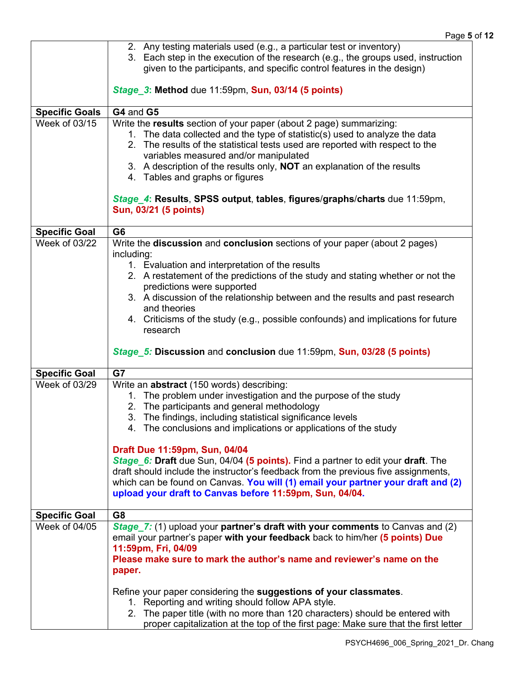|                                       | 2. Any testing materials used (e.g., a particular test or inventory)<br>3. Each step in the execution of the research (e.g., the groups used, instruction<br>given to the participants, and specific control features in the design)                                                                                                                                                                                                                                                                    |
|---------------------------------------|---------------------------------------------------------------------------------------------------------------------------------------------------------------------------------------------------------------------------------------------------------------------------------------------------------------------------------------------------------------------------------------------------------------------------------------------------------------------------------------------------------|
|                                       | Stage 3: Method due 11:59pm, Sun, 03/14 (5 points)                                                                                                                                                                                                                                                                                                                                                                                                                                                      |
| <b>Specific Goals</b>                 | G4 and G5                                                                                                                                                                                                                                                                                                                                                                                                                                                                                               |
| Week of 03/15                         | Write the results section of your paper (about 2 page) summarizing:<br>1. The data collected and the type of statistic(s) used to analyze the data<br>2. The results of the statistical tests used are reported with respect to the<br>variables measured and/or manipulated<br>3. A description of the results only, <b>NOT</b> an explanation of the results<br>4. Tables and graphs or figures<br>Stage_4: Results, SPSS output, tables, figures/graphs/charts due 11:59pm,<br>Sun, 03/21 (5 points) |
|                                       |                                                                                                                                                                                                                                                                                                                                                                                                                                                                                                         |
| <b>Specific Goal</b><br>Week of 03/22 | G <sub>6</sub><br>Write the discussion and conclusion sections of your paper (about 2 pages)<br>including:<br>1. Evaluation and interpretation of the results<br>2. A restatement of the predictions of the study and stating whether or not the<br>predictions were supported<br>3. A discussion of the relationship between and the results and past research<br>and theories<br>4. Criticisms of the study (e.g., possible confounds) and implications for future<br>research                        |
|                                       | Stage 5: Discussion and conclusion due 11:59pm, Sun, 03/28 (5 points)                                                                                                                                                                                                                                                                                                                                                                                                                                   |
| <b>Specific Goal</b>                  | G7                                                                                                                                                                                                                                                                                                                                                                                                                                                                                                      |
| Week of 03/29                         | Write an <b>abstract</b> (150 words) describing:<br>1. The problem under investigation and the purpose of the study<br>2. The participants and general methodology<br>3. The findings, including statistical significance levels<br>4. The conclusions and implications or applications of the study                                                                                                                                                                                                    |
|                                       | Draft Due 11:59pm, Sun, 04/04<br>Stage 6: Draft due Sun, 04/04 (5 points). Find a partner to edit your draft. The<br>draft should include the instructor's feedback from the previous five assignments,<br>which can be found on Canvas. You will (1) email your partner your draft and (2)<br>upload your draft to Canvas before 11:59pm, Sun, 04/04.                                                                                                                                                  |
| <b>Specific Goal</b>                  | G <sub>8</sub>                                                                                                                                                                                                                                                                                                                                                                                                                                                                                          |
| Week of 04/05                         | Stage 7: (1) upload your partner's draft with your comments to Canvas and (2)<br>email your partner's paper with your feedback back to him/her (5 points) Due<br>11:59pm, Fri, 04/09<br>Please make sure to mark the author's name and reviewer's name on the<br>paper.                                                                                                                                                                                                                                 |
|                                       | Refine your paper considering the suggestions of your classmates.<br>1. Reporting and writing should follow APA style.<br>2. The paper title (with no more than 120 characters) should be entered with<br>proper capitalization at the top of the first page: Make sure that the first letter                                                                                                                                                                                                           |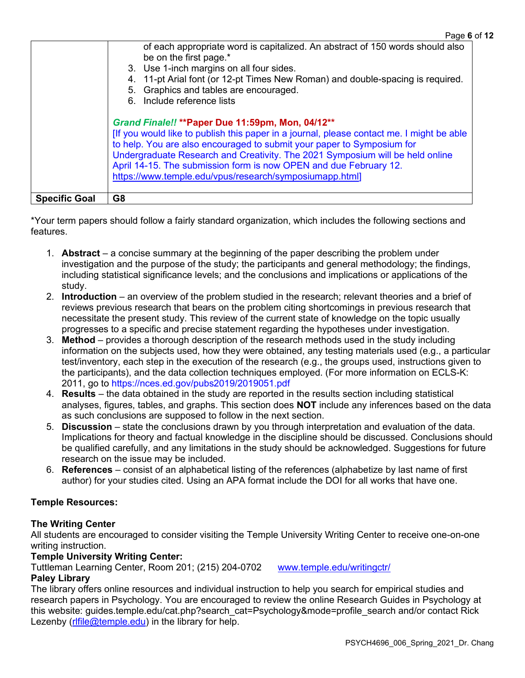|                      | of each appropriate word is capitalized. An abstract of 150 words should also<br>be on the first page.*<br>3. Use 1-inch margins on all four sides.<br>11-pt Arial font (or 12-pt Times New Roman) and double-spacing is required.<br>5. Graphics and tables are encouraged.<br>6. Include reference lists                                                                                                                                |  |
|----------------------|-------------------------------------------------------------------------------------------------------------------------------------------------------------------------------------------------------------------------------------------------------------------------------------------------------------------------------------------------------------------------------------------------------------------------------------------|--|
|                      | Grand Finale!! ** Paper Due 11:59pm, Mon, 04/12**<br>[If you would like to publish this paper in a journal, please contact me. I might be able<br>to help. You are also encouraged to submit your paper to Symposium for<br>Undergraduate Research and Creativity. The 2021 Symposium will be held online<br>April 14-15. The submission form is now OPEN and due February 12.<br>https://www.temple.edu/vpus/research/symposiumapp.html] |  |
| <b>Specific Goal</b> | G8                                                                                                                                                                                                                                                                                                                                                                                                                                        |  |

\*Your term papers should follow a fairly standard organization, which includes the following sections and features.

- 1. **Abstract** a concise summary at the beginning of the paper describing the problem under investigation and the purpose of the study; the participants and general methodology; the findings, including statistical significance levels; and the conclusions and implications or applications of the study.
- 2. **Introduction** an overview of the problem studied in the research; relevant theories and a brief of reviews previous research that bears on the problem citing shortcomings in previous research that necessitate the present study. This review of the current state of knowledge on the topic usually progresses to a specific and precise statement regarding the hypotheses under investigation.
- 3. **Method** provides a thorough description of the research methods used in the study including information on the subjects used, how they were obtained, any testing materials used (e.g., a particular test/inventory, each step in the execution of the research (e.g., the groups used, instructions given to the participants), and the data collection techniques employed. (For more information on ECLS-K: 2011, go to https://nces.ed.gov/pubs2019/2019051.pdf
- 4. **Results** the data obtained in the study are reported in the results section including statistical analyses, figures, tables, and graphs. This section does **NOT** include any inferences based on the data as such conclusions are supposed to follow in the next section.
- 5. **Discussion**  state the conclusions drawn by you through interpretation and evaluation of the data. Implications for theory and factual knowledge in the discipline should be discussed. Conclusions should be qualified carefully, and any limitations in the study should be acknowledged. Suggestions for future research on the issue may be included.
- 6. **References**  consist of an alphabetical listing of the references (alphabetize by last name of first author) for your studies cited. Using an APA format include the DOI for all works that have one.

# **Temple Resources:**

## **The Writing Center**

All students are encouraged to consider visiting the Temple University Writing Center to receive one-on-one writing instruction.

## **Temple University Writing Center:**

Tuttleman Learning Center, Room 201; (215) 204-0702 [www.temple.edu/writingctr/](http://www.temple.edu/writingctr/)

## **Paley Library**

The library offers online resources and individual instruction to help you search for empirical studies and research papers in Psychology. You are encouraged to review the online Research Guides in Psychology at this website: guides.temple.edu/cat.php?search\_cat=Psychology&mode=profile\_search and/or contact Rick Lezenby ( $r$ Ifile@temple.edu) in the library for help.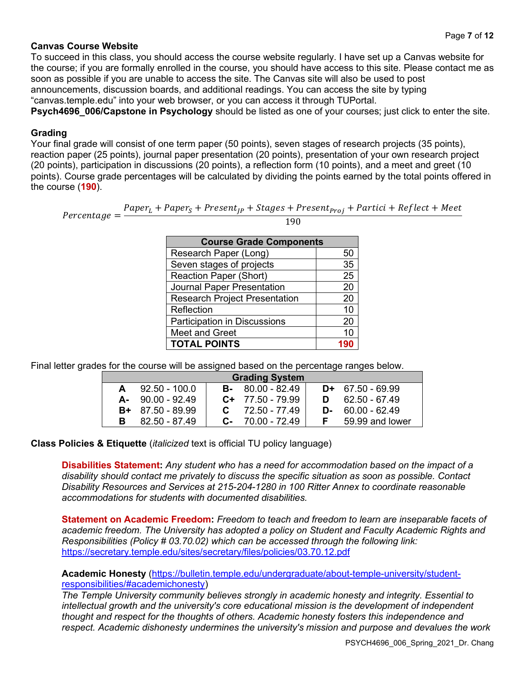#### **Canvas Course Website**

To succeed in this class, you should access the course website regularly. I have set up a Canvas website for the course; if you are formally enrolled in the course, you should have access to this site. Please contact me as soon as possible if you are unable to access the site. The Canvas site will also be used to post announcements, discussion boards, and additional readings. You can access the site by typing "canvas.temple.edu" into your web browser, or you can access it through TUPortal.

**Psych4696\_006/Capstone in Psychology** should be listed as one of your courses; just click to enter the site.

#### **Grading**

Your final grade will consist of one term paper (50 points), seven stages of research projects (35 points), reaction paper (25 points), journal paper presentation (20 points), presentation of your own research project (20 points), participation in discussions (20 points), a reflection form (10 points), and a meet and greet (10 points). Course grade percentages will be calculated by dividing the points earned by the total points offered in the course (**190**).

 $Percentage = \frac{Paper_{L} + Paper_{S} + Present_{JP} + Stages + Present_{Proj} + Particle + Reflect + Meet}{100}$ 190

| <b>Course Grade Components</b>       |          |  |
|--------------------------------------|----------|--|
| Research Paper (Long)                | 50       |  |
| Seven stages of projects             | 35       |  |
| <b>Reaction Paper (Short)</b>        | 25       |  |
| <b>Journal Paper Presentation</b>    | 20       |  |
| <b>Research Project Presentation</b> | 20       |  |
| Reflection                           | 10       |  |
| <b>Participation in Discussions</b>  | 20       |  |
| <b>Meet and Greet</b>                | 10       |  |
| <b>TOTAL POINTS</b>                  | <b>Q</b> |  |

Final letter grades for the course will be assigned based on the percentage ranges below.

| <b>Grading System</b> |                     |  |                     |    |                    |
|-----------------------|---------------------|--|---------------------|----|--------------------|
|                       | $92.50 - 100.0$     |  | $B - 80.00 - 82.49$ |    | $D+ 67.50 - 69.99$ |
|                       | $A - 90.00 - 92.49$ |  | $C+ 77.50 - 79.99$  |    | 62.50 - 67.49      |
|                       | $B+ 87.50 - 89.99$  |  | $C = 72.50 - 77.49$ | D- | 60.00 - 62.49      |
| в                     | 82.50 - 87.49       |  | $C - 70.00 - 72.49$ |    | 59.99 and lower    |

**Class Policies & Etiquette** (*italicized* text is official TU policy language)

**Disabilities Statement:** *Any student who has a need for accommodation based on the impact of a disability should contact me privately to discuss the specific situation as soon as possible. Contact Disability Resources and Services at 215-204-1280 in 100 Ritter Annex to coordinate reasonable accommodations for students with documented disabilities.*

**Statement on Academic Freedom:** *Freedom to teach and freedom to learn are inseparable facets of academic freedom. The University has adopted a policy on Student and Faculty Academic Rights and Responsibilities (Policy # 03.70.02) which can be accessed through the following link:* <https://secretary.temple.edu/sites/secretary/files/policies/03.70.12.pdf>

**Academic Honesty** [\(https://bulletin.temple.edu/undergraduate/about-temple-university/student](https://bulletin.temple.edu/undergraduate/about-temple-university/student-responsibilities/#academichonesty)[responsibilities/#academichonesty\)](https://bulletin.temple.edu/undergraduate/about-temple-university/student-responsibilities/#academichonesty)

*The Temple University community believes strongly in academic honesty and integrity. Essential to intellectual growth and the university's core educational mission is the development of independent thought and respect for the thoughts of others. Academic honesty fosters this independence and respect. Academic dishonesty undermines the university's mission and purpose and devalues the work*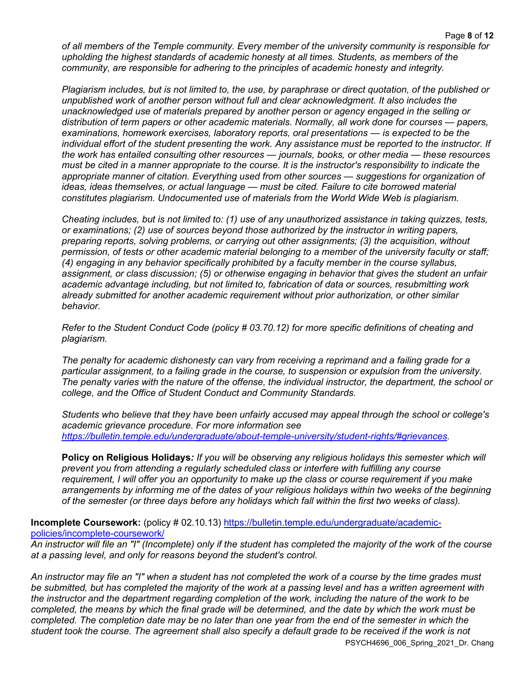*of all members of the Temple community. Every member of the university community is responsible for upholding the highest standards of academic honesty at all times. Students, as members of the community, are responsible for adhering to the principles of academic honesty and integrity.*

*Plagiarism includes, but is not limited to, the use, by paraphrase or direct quotation, of the published or unpublished work of another person without full and clear acknowledgment. It also includes the unacknowledged use of materials prepared by another person or agency engaged in the selling or distribution of term papers or other academic materials. Normally, all work done for courses — papers, examinations, homework exercises, laboratory reports, oral presentations — is expected to be the individual effort of the student presenting the work. Any assistance must be reported to the instructor. If the work has entailed consulting other resources — journals, books, or other media — these resources must be cited in a manner appropriate to the course. It is the instructor's responsibility to indicate the appropriate manner of citation. Everything used from other sources — suggestions for organization of ideas, ideas themselves, or actual language — must be cited. Failure to cite borrowed material constitutes plagiarism. Undocumented use of materials from the World Wide Web is plagiarism.*

*Cheating includes, but is not limited to: (1) use of any unauthorized assistance in taking quizzes, tests, or examinations; (2) use of sources beyond those authorized by the instructor in writing papers, preparing reports, solving problems, or carrying out other assignments; (3) the acquisition, without permission, of tests or other academic material belonging to a member of the university faculty or staff; (4) engaging in any behavior specifically prohibited by a faculty member in the course syllabus, assignment, or class discussion; (5) or otherwise engaging in behavior that gives the student an unfair academic advantage including, but not limited to, fabrication of data or sources, resubmitting work already submitted for another academic requirement without prior authorization, or other similar behavior.*

*Refer to the Student Conduct Code (policy # 03.70.12) for more specific definitions of cheating and plagiarism.*

*The penalty for academic dishonesty can vary from receiving a reprimand and a failing grade for a particular assignment, to a failing grade in the course, to suspension or expulsion from the university. The penalty varies with the nature of the offense, the individual instructor, the department, the school or college, and the Office of Student Conduct and Community Standards.*

*Students who believe that they have been unfairly accused may appeal through the school or college's academic grievance procedure. For more information see [https://bulletin.temple.edu/undergraduate/about-temple-university/student-rights/#grievances.](https://bulletin.temple.edu/undergraduate/about-temple-university/student-rights/#grievances)* 

**Policy on Religious Holidays***: If you will be observing any religious holidays this semester which will prevent you from attending a regularly scheduled class or interfere with fulfilling any course requirement, I will offer you an opportunity to make up the class or course requirement if you make arrangements by informing me of the dates of your religious holidays within two weeks of the beginning of the semester (or three days before any holidays which fall within the first two weeks of class).*

**Incomplete Coursework:** (policy # 02.10.13) [https://bulletin.temple.edu/undergraduate/academic](https://bulletin.temple.edu/undergraduate/academic-policies/incomplete-coursework/)[policies/incomplete-coursework/](https://bulletin.temple.edu/undergraduate/academic-policies/incomplete-coursework/)

*An instructor will file an "I" (Incomplete) only if the student has completed the majority of the work of the course at a passing level, and only for reasons beyond the student's control.*

*An instructor may file an "I" when a student has not completed the work of a course by the time grades must be submitted, but has completed the majority of the work at a passing level and has a written agreement with the instructor and the department regarding completion of the work, including the nature of the work to be completed, the means by which the final grade will be determined, and the date by which the work must be completed. The completion date may be no later than one year from the end of the semester in which the student took the course. The agreement shall also specify a default grade to be received if the work is not* 

PSYCH4696\_006\_Spring\_2021\_Dr. Chang

Page **8** of **12**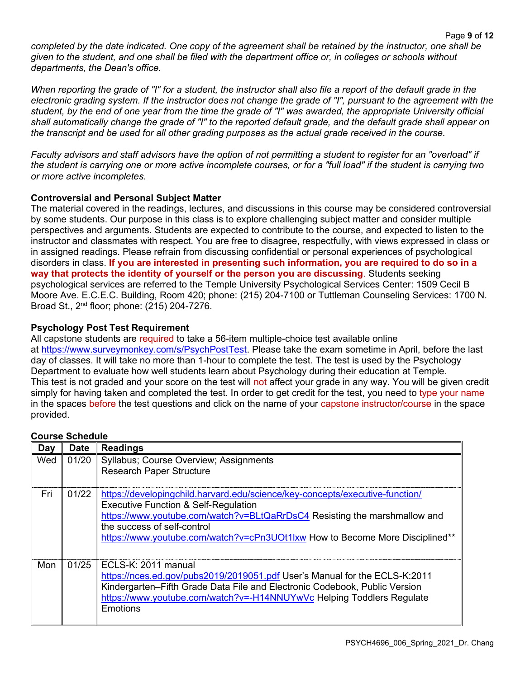*completed by the date indicated. One copy of the agreement shall be retained by the instructor, one shall be given to the student, and one shall be filed with the department office or, in colleges or schools without departments, the Dean's office.*

When reporting the grade of "I" for a student, the instructor shall also file a report of the default grade in the electronic grading system. If the instructor does not change the grade of "I", pursuant to the agreement with the *student, by the end of one year from the time the grade of "I" was awarded, the appropriate University official shall automatically change the grade of "I" to the reported default grade, and the default grade shall appear on the transcript and be used for all other grading purposes as the actual grade received in the course.*

*Faculty advisors and staff advisors have the option of not permitting a student to register for an "overload" if the student is carrying one or more active incomplete courses, or for a "full load" if the student is carrying two or more active incompletes.*

# **Controversial and Personal Subject Matter**

The material covered in the readings, lectures, and discussions in this course may be considered controversial by some students. Our purpose in this class is to explore challenging subject matter and consider multiple perspectives and arguments. Students are expected to contribute to the course, and expected to listen to the instructor and classmates with respect. You are free to disagree, respectfully, with views expressed in class or in assigned readings. Please refrain from discussing confidential or personal experiences of psychological disorders in class. **If you are interested in presenting such information, you are required to do so in a way that protects the identity of yourself or the person you are discussing**. Students seeking psychological services are referred to the Temple University Psychological Services Center: 1509 Cecil B Moore Ave. E.C.E.C. Building, Room 420; phone: (215) 204-7100 or Tuttleman Counseling Services: 1700 N. Broad St., 2nd floor; phone: (215) 204-7276.

## **Psychology Post Test Requirement**

All capstone students are required to take a 56-item multiple-choice test available online at [https://www.surveymonkey.com/s/PsychPostTest.](https://www.surveymonkey.com/s/PsychPostTest) Please take the exam sometime in April, before the last day of classes. It will take no more than 1-hour to complete the test. The test is used by the Psychology Department to evaluate how well students learn about Psychology during their education at Temple. This test is not graded and your score on the test will not affect your grade in any way. You will be given credit simply for having taken and completed the test. In order to get credit for the test, you need to type your name in the spaces before the test questions and click on the name of your capstone instructor/course in the space provided.

# **Course Schedule**

| Day | <b>Date</b> | <b>Readings</b>                                                                                                                                                                                                                                                                                                             |
|-----|-------------|-----------------------------------------------------------------------------------------------------------------------------------------------------------------------------------------------------------------------------------------------------------------------------------------------------------------------------|
| Wed | 01/20       | Syllabus; Course Overview; Assignments<br><b>Research Paper Structure</b>                                                                                                                                                                                                                                                   |
| Fri | 01/22       | https://developingchild.harvard.edu/science/key-concepts/executive-function/<br><b>Executive Function &amp; Self-Regulation</b><br>https://www.youtube.com/watch?v=BLtQaRrDsC4 Resisting the marshmallow and<br>the success of self-control<br>https://www.youtube.com/watch?v=cPn3UOt1lxw How to Become More Disciplined** |
| Mon | 01/25       | ECLS-K: 2011 manual<br>https://nces.ed.gov/pubs2019/2019051.pdf User's Manual for the ECLS-K:2011<br>Kindergarten-Fifth Grade Data File and Electronic Codebook, Public Version<br>https://www.youtube.com/watch?v=-H14NNUYwVc Helping Toddlers Regulate<br>Emotions                                                        |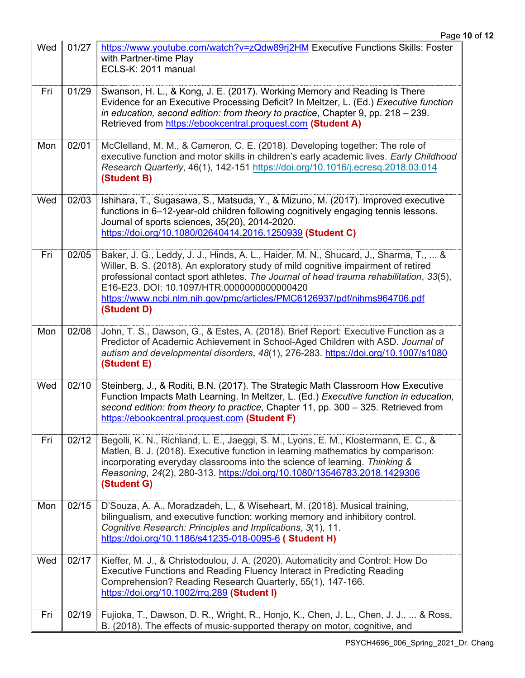| Wed | 01/27 | https://www.youtube.com/watch?v=zQdw89rj2HM Executive Functions Skills: Foster<br>with Partner-time Play<br>ECLS-K: 2011 manual                                                                                                                                                                                                                                                                               |
|-----|-------|---------------------------------------------------------------------------------------------------------------------------------------------------------------------------------------------------------------------------------------------------------------------------------------------------------------------------------------------------------------------------------------------------------------|
| Fri | 01/29 | Swanson, H. L., & Kong, J. E. (2017). Working Memory and Reading Is There<br>Evidence for an Executive Processing Deficit? In Meltzer, L. (Ed.) Executive function<br>in education, second edition: from theory to practice, Chapter 9, pp. $218 - 239$ .<br>Retrieved from https://ebookcentral.proquest.com (Student A)                                                                                     |
| Mon | 02/01 | McClelland, M. M., & Cameron, C. E. (2018). Developing together: The role of<br>executive function and motor skills in children's early academic lives. Early Childhood<br>Research Quarterly, 46(1), 142-151 https://doi.org/10.1016/j.ecresq.2018.03.014<br>(Student B)                                                                                                                                     |
| Wed | 02/03 | Ishihara, T., Sugasawa, S., Matsuda, Y., & Mizuno, M. (2017). Improved executive<br>functions in 6-12-year-old children following cognitively engaging tennis lessons.<br>Journal of sports sciences, 35(20), 2014-2020.<br>https://doi.org/10.1080/02640414.2016.1250939 (Student C)                                                                                                                         |
| Fri | 02/05 | Baker, J. G., Leddy, J. J., Hinds, A. L., Haider, M. N., Shucard, J., Sharma, T.,  &<br>Willer, B. S. (2018). An exploratory study of mild cognitive impairment of retired<br>professional contact sport athletes. The Journal of head trauma rehabilitation, 33(5),<br>E16-E23, DOI: 10.1097/HTR.0000000000000420<br>https://www.ncbi.nlm.nih.gov/pmc/articles/PMC6126937/pdf/nihms964706.pdf<br>(Student D) |
| Mon | 02/08 | John, T. S., Dawson, G., & Estes, A. (2018). Brief Report: Executive Function as a<br>Predictor of Academic Achievement in School-Aged Children with ASD. Journal of<br>autism and developmental disorders, 48(1), 276-283. https://doi.org/10.1007/s1080<br>(Student E)                                                                                                                                      |
| Wed | 02/10 | Steinberg, J., & Roditi, B.N. (2017). The Strategic Math Classroom How Executive<br>Function Impacts Math Learning. In Meltzer, L. (Ed.) Executive function in education,<br>second edition: from theory to practice, Chapter 11, pp. 300 - 325. Retrieved from<br>https://ebookcentral.proquest.com (Student F)                                                                                              |
| Fri | 02/12 | Begolli, K. N., Richland, L. E., Jaeggi, S. M., Lyons, E. M., Klostermann, E. C., &<br>Matlen, B. J. (2018). Executive function in learning mathematics by comparison:<br>incorporating everyday classrooms into the science of learning. Thinking &<br>Reasoning, 24(2), 280-313. https://doi.org/10.1080/13546783.2018.1429306<br>(Student G)                                                               |
| Mon | 02/15 | D'Souza, A. A., Moradzadeh, L., & Wiseheart, M. (2018). Musical training,<br>bilingualism, and executive function: working memory and inhibitory control.<br>Cognitive Research: Principles and Implications, 3(1), 11.<br>https://doi.org/10.1186/s41235-018-0095-6 (Student H)                                                                                                                              |
| Wed | 02/17 | Kieffer, M. J., & Christodoulou, J. A. (2020). Automaticity and Control: How Do<br>Executive Functions and Reading Fluency Interact in Predicting Reading<br>Comprehension? Reading Research Quarterly, 55(1), 147-166.<br>https://doi.org/10.1002/rrq.289 (Student I)                                                                                                                                        |
| Fri | 02/19 | Fujioka, T., Dawson, D. R., Wright, R., Honjo, K., Chen, J. L., Chen, J. J.,  & Ross,<br>B. (2018). The effects of music-supported therapy on motor, cognitive, and                                                                                                                                                                                                                                           |

 $\blacksquare$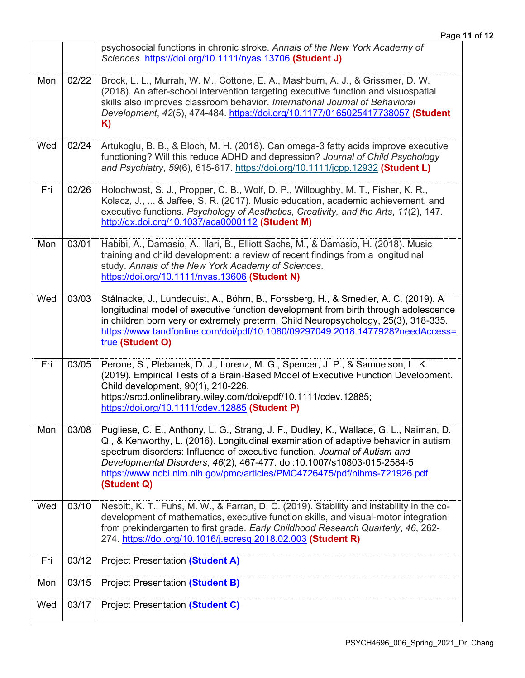|     |       | psychosocial functions in chronic stroke. Annals of the New York Academy of<br>Sciences. https://doi.org/10.1111/nyas.13706 (Student J)                                                                                                                                                                                                                                                                                           |
|-----|-------|-----------------------------------------------------------------------------------------------------------------------------------------------------------------------------------------------------------------------------------------------------------------------------------------------------------------------------------------------------------------------------------------------------------------------------------|
| Mon | 02/22 | Brock, L. L., Murrah, W. M., Cottone, E. A., Mashburn, A. J., & Grissmer, D. W.<br>(2018). An after-school intervention targeting executive function and visuospatial<br>skills also improves classroom behavior. International Journal of Behavioral<br>Development, 42(5), 474-484. https://doi.org/10.1177/0165025417738057 (Student<br>K)                                                                                     |
| Wed | 02/24 | Artukoglu, B. B., & Bloch, M. H. (2018). Can omega-3 fatty acids improve executive<br>functioning? Will this reduce ADHD and depression? Journal of Child Psychology<br>and Psychiatry, 59(6), 615-617. https://doi.org/10.1111/jcpp.12932 (Student L)                                                                                                                                                                            |
| Fri | 02/26 | Holochwost, S. J., Propper, C. B., Wolf, D. P., Willoughby, M. T., Fisher, K. R.,<br>Kolacz, J.,  & Jaffee, S. R. (2017). Music education, academic achievement, and<br>executive functions. Psychology of Aesthetics, Creativity, and the Arts, 11(2), 147.<br>http://dx.doi.org/10.1037/aca0000112 (Student M)                                                                                                                  |
| Mon | 03/01 | Habibi, A., Damasio, A., Ilari, B., Elliott Sachs, M., & Damasio, H. (2018). Music<br>training and child development: a review of recent findings from a longitudinal<br>study. Annals of the New York Academy of Sciences.<br>https://doi.org/10.1111/nyas.13606 (Student N)                                                                                                                                                     |
| Wed | 03/03 | Stålnacke, J., Lundequist, A., Böhm, B., Forssberg, H., & Smedler, A. C. (2019). A<br>longitudinal model of executive function development from birth through adolescence<br>in children born very or extremely preterm. Child Neuropsychology, 25(3), 318-335.<br>https://www.tandfonline.com/doi/pdf/10.1080/09297049.2018.1477928?needAccess=<br>true (Student O)                                                              |
| Fri | 03/05 | Perone, S., Plebanek, D. J., Lorenz, M. G., Spencer, J. P., & Samuelson, L. K.<br>(2019). Empirical Tests of a Brain-Based Model of Executive Function Development.<br>Child development, 90(1), 210-226.<br>https://srcd.onlinelibrary.wiley.com/doi/epdf/10.1111/cdev.12885;<br>https://doi.org/10.1111/cdev.12885 (Student P)                                                                                                  |
| Mon | 03/08 | Pugliese, C. E., Anthony, L. G., Strang, J. F., Dudley, K., Wallace, G. L., Naiman, D.<br>Q., & Kenworthy, L. (2016). Longitudinal examination of adaptive behavior in autism<br>spectrum disorders: Influence of executive function. Journal of Autism and<br>Developmental Disorders, 46(2), 467-477. doi:10.1007/s10803-015-2584-5<br>https://www.ncbi.nlm.nih.gov/pmc/articles/PMC4726475/pdf/nihms-721926.pdf<br>(Student Q) |
| Wed | 03/10 | Nesbitt, K. T., Fuhs, M. W., & Farran, D. C. (2019). Stability and instability in the co-<br>development of mathematics, executive function skills, and visual-motor integration<br>from prekindergarten to first grade. Early Childhood Research Quarterly, 46, 262-<br>274. https://doi.org/10.1016/j.ecresq.2018.02.003 (Student R)                                                                                            |
| Fri | 03/12 | <b>Project Presentation (Student A)</b>                                                                                                                                                                                                                                                                                                                                                                                           |
| Mon | 03/15 | <b>Project Presentation (Student B)</b>                                                                                                                                                                                                                                                                                                                                                                                           |
| Wed | 03/17 | <b>Project Presentation (Student C)</b>                                                                                                                                                                                                                                                                                                                                                                                           |